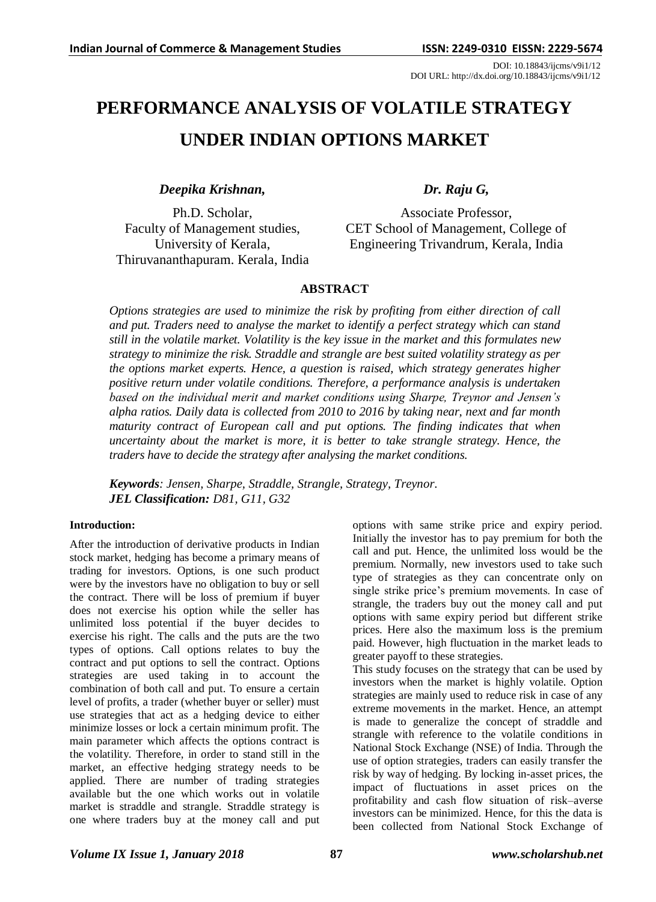DOI: 10.18843/ijcms/v9i1/12 DOI URL: http://dx.doi.org/10.18843/ijcms/v9i1/12

# **PERFORMANCE ANALYSIS OF VOLATILE STRATEGY UNDER INDIAN OPTIONS MARKET**

*Deepika Krishnan,*

Ph.D. Scholar, Faculty of Management studies, University of Kerala, Thiruvananthapuram. Kerala, India

# *Dr. Raju G,*

Associate Professor, CET School of Management, College of Engineering Trivandrum, Kerala, India

# **ABSTRACT**

*Options strategies are used to minimize the risk by profiting from either direction of call and put. Traders need to analyse the market to identify a perfect strategy which can stand still in the volatile market. Volatility is the key issue in the market and this formulates new strategy to minimize the risk. Straddle and strangle are best suited volatility strategy as per the options market experts. Hence, a question is raised, which strategy generates higher positive return under volatile conditions. Therefore, a performance analysis is undertaken based on the individual merit and market conditions using Sharpe, Treynor and Jensen's alpha ratios. Daily data is collected from 2010 to 2016 by taking near, next and far month maturity contract of European call and put options. The finding indicates that when uncertainty about the market is more, it is better to take strangle strategy. Hence, the traders have to decide the strategy after analysing the market conditions.*

*Keywords: Jensen, Sharpe, Straddle, Strangle, Strategy, Treynor. JEL Classification: D81, G11, G32*

# **Introduction:**

After the introduction of derivative products in Indian stock market, hedging has become a primary means of trading for investors. Options, is one such product were by the investors have no obligation to buy or sell the contract. There will be loss of premium if buyer does not exercise his option while the seller has unlimited loss potential if the buyer decides to exercise his right. The calls and the puts are the two types of options. Call options relates to buy the contract and put options to sell the contract. Options strategies are used taking in to account the combination of both call and put. To ensure a certain level of profits, a trader (whether buyer or seller) must use strategies that act as a hedging device to either minimize losses or lock a certain minimum profit. The main parameter which affects the options contract is the volatility. Therefore, in order to stand still in the market, an effective hedging strategy needs to be applied. There are number of trading strategies available but the one which works out in volatile market is straddle and strangle. Straddle strategy is one where traders buy at the money call and put options with same strike price and expiry period. Initially the investor has to pay premium for both the call and put. Hence, the unlimited loss would be the premium. Normally, new investors used to take such type of strategies as they can concentrate only on single strike price's premium movements. In case of strangle, the traders buy out the money call and put options with same expiry period but different strike prices. Here also the maximum loss is the premium paid. However, high fluctuation in the market leads to greater payoff to these strategies.

This study focuses on the strategy that can be used by investors when the market is highly volatile. Option strategies are mainly used to reduce risk in case of any extreme movements in the market. Hence, an attempt is made to generalize the concept of straddle and strangle with reference to the volatile conditions in National Stock Exchange (NSE) of India. Through the use of option strategies, traders can easily transfer the risk by way of hedging. By locking in-asset prices, the impact of fluctuations in asset prices on the profitability and cash flow situation of risk–averse investors can be minimized. Hence, for this the data is been collected from National Stock Exchange of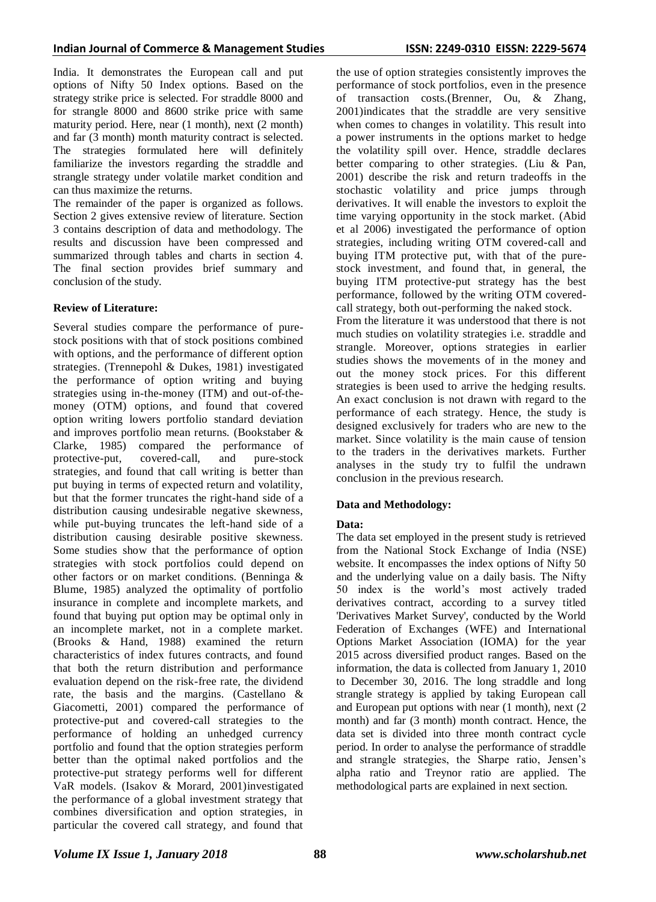India. It demonstrates the European call and put options of Nifty 50 Index options. Based on the strategy strike price is selected. For straddle 8000 and for strangle 8000 and 8600 strike price with same maturity period. Here, near (1 month), next (2 month) and far (3 month) month maturity contract is selected. The strategies formulated here will definitely familiarize the investors regarding the straddle and strangle strategy under volatile market condition and can thus maximize the returns.

The remainder of the paper is organized as follows. Section 2 gives extensive review of literature. Section 3 contains description of data and methodology. The results and discussion have been compressed and summarized through tables and charts in section 4. The final section provides brief summary and conclusion of the study.

# **Review of Literature:**

Several studies compare the performance of purestock positions with that of stock positions combined with options, and the performance of different option strategies. (Trennepohl & Dukes, 1981) investigated the performance of option writing and buying strategies using in-the-money (ITM) and out-of-themoney (OTM) options, and found that covered option writing lowers portfolio standard deviation and improves portfolio mean returns. (Bookstaber & Clarke, 1985) compared the performance of protective-put, covered-call, and pure-stock strategies, and found that call writing is better than put buying in terms of expected return and volatility, but that the former truncates the right-hand side of a distribution causing undesirable negative skewness, while put-buying truncates the left-hand side of a distribution causing desirable positive skewness. Some studies show that the performance of option strategies with stock portfolios could depend on other factors or on market conditions. (Benninga & Blume, 1985) analyzed the optimality of portfolio insurance in complete and incomplete markets, and found that buying put option may be optimal only in an incomplete market, not in a complete market. (Brooks & Hand, 1988) examined the return characteristics of index futures contracts, and found that both the return distribution and performance evaluation depend on the risk-free rate, the dividend rate, the basis and the margins. (Castellano & Giacometti, 2001) compared the performance of protective-put and covered-call strategies to the performance of holding an unhedged currency portfolio and found that the option strategies perform better than the optimal naked portfolios and the protective-put strategy performs well for different VaR models. (Isakov & Morard, 2001)investigated the performance of a global investment strategy that combines diversification and option strategies, in particular the covered call strategy, and found that

the use of option strategies consistently improves the performance of stock portfolios, even in the presence of transaction costs.(Brenner, Ou, & Zhang, 2001)indicates that the straddle are very sensitive when comes to changes in volatility. This result into a power instruments in the options market to hedge the volatility spill over. Hence, straddle declares better comparing to other strategies. (Liu & Pan, 2001) describe the risk and return tradeoffs in the stochastic volatility and price jumps through derivatives. It will enable the investors to exploit the time varying opportunity in the stock market. (Abid et al 2006) investigated the performance of option strategies, including writing OTM covered-call and buying ITM protective put, with that of the purestock investment, and found that, in general, the buying ITM protective-put strategy has the best performance, followed by the writing OTM coveredcall strategy, both out-performing the naked stock.

From the literature it was understood that there is not much studies on volatility strategies i.e. straddle and strangle. Moreover, options strategies in earlier studies shows the movements of in the money and out the money stock prices. For this different strategies is been used to arrive the hedging results. An exact conclusion is not drawn with regard to the performance of each strategy. Hence, the study is designed exclusively for traders who are new to the market. Since volatility is the main cause of tension to the traders in the derivatives markets. Further analyses in the study try to fulfil the undrawn conclusion in the previous research.

# **Data and Methodology:**

# **Data:**

The data set employed in the present study is retrieved from the National Stock Exchange of India (NSE) website. It encompasses the index options of Nifty 50 and the underlying value on a daily basis. The Nifty 50 index is the world's most actively traded derivatives contract, according to a survey titled 'Derivatives Market Survey', conducted by the World Federation of Exchanges (WFE) and International Options Market Association (IOMA) for the year 2015 across diversified product ranges. Based on the information, the data is collected from January 1, 2010 to December 30, 2016. The long straddle and long strangle strategy is applied by taking European call and European put options with near (1 month), next (2 month) and far (3 month) month contract. Hence, the data set is divided into three month contract cycle period. In order to analyse the performance of straddle and strangle strategies, the Sharpe ratio, Jensen's alpha ratio and Treynor ratio are applied. The methodological parts are explained in next section.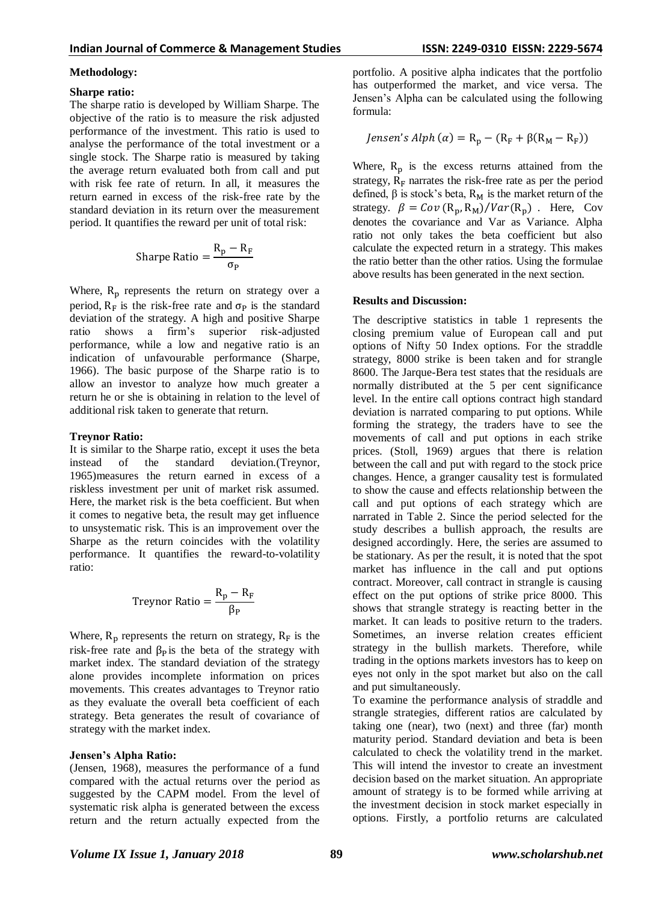#### **Methodology:**

#### **Sharpe ratio:**

The sharpe ratio is developed by William Sharpe. The objective of the ratio is to measure the risk adjusted performance of the investment. This ratio is used to analyse the performance of the total investment or a single stock. The Sharpe ratio is measured by taking the average return evaluated both from call and put with risk fee rate of return. In all, it measures the return earned in excess of the risk-free rate by the standard deviation in its return over the measurement period. It quantifies the reward per unit of total risk:

$$
Sharpe Ratio = \frac{R_p - R_F}{\sigma_P}
$$

Where,  $R_p$  represents the return on strategy over a period,  $R_F$  is the risk-free rate and  $\sigma_P$  is the standard deviation of the strategy. A high and positive Sharpe ratio shows a firm's superior risk-adjusted performance, while a low and negative ratio is an indication of unfavourable performance (Sharpe, 1966). The basic purpose of the Sharpe ratio is to allow an investor to analyze how much greater a return he or she is obtaining in relation to the level of additional risk taken to generate that return.

#### **Treynor Ratio:**

It is similar to the Sharpe ratio, except it uses the beta instead of the standard deviation.(Treynor, 1965)measures the return earned in excess of a riskless investment per unit of market risk assumed. Here, the market risk is the beta coefficient. But when it comes to negative beta, the result may get influence to unsystematic risk. This is an improvement over the Sharpe as the return coincides with the volatility performance. It quantifies the reward-to-volatility ratio:

Treynor Ratio = 
$$
\frac{R_p - R_F}{\beta_P}
$$

Where,  $R_p$  represents the return on strategy,  $R_F$  is the risk-free rate and  $\beta_{\rm P}$  is the beta of the strategy with market index. The standard deviation of the strategy alone provides incomplete information on prices movements. This creates advantages to Treynor ratio as they evaluate the overall beta coefficient of each strategy. Beta generates the result of covariance of strategy with the market index.

#### **Jensen's Alpha Ratio:**

(Jensen, 1968), measures the performance of a fund compared with the actual returns over the period as suggested by the CAPM model. From the level of systematic risk alpha is generated between the excess return and the return actually expected from the portfolio. A positive alpha indicates that the portfolio has outperformed the market, and vice versa. The Jensen's Alpha can be calculated using the following formula:

$$
Jensen's Alph (\alpha) = R_p - (R_F + \beta(R_M - R_F))
$$

Where,  $R_p$  is the excess returns attained from the strategy,  $R_F$  narrates the risk-free rate as per the period defined,  $\beta$  is stock's beta, R<sub>M</sub> is the market return of the strategy.  $\beta = Cov(R_p, R_M)/Var(R_p)$ . Here, Cov denotes the covariance and Var as Variance. Alpha ratio not only takes the beta coefficient but also calculate the expected return in a strategy. This makes the ratio better than the other ratios. Using the formulae above results has been generated in the next section.

#### **Results and Discussion:**

The descriptive statistics in table 1 represents the closing premium value of European call and put options of Nifty 50 Index options. For the straddle strategy, 8000 strike is been taken and for strangle 8600. The Jarque-Bera test states that the residuals are normally distributed at the 5 per cent significance level. In the entire call options contract high standard deviation is narrated comparing to put options. While forming the strategy, the traders have to see the movements of call and put options in each strike prices. (Stoll, 1969) argues that there is relation between the call and put with regard to the stock price changes. Hence, a granger causality test is formulated to show the cause and effects relationship between the call and put options of each strategy which are narrated in Table 2. Since the period selected for the study describes a bullish approach, the results are designed accordingly. Here, the series are assumed to be stationary. As per the result, it is noted that the spot market has influence in the call and put options contract. Moreover, call contract in strangle is causing effect on the put options of strike price 8000. This shows that strangle strategy is reacting better in the market. It can leads to positive return to the traders. Sometimes, an inverse relation creates efficient strategy in the bullish markets. Therefore, while trading in the options markets investors has to keep on eyes not only in the spot market but also on the call and put simultaneously.

To examine the performance analysis of straddle and strangle strategies, different ratios are calculated by taking one (near), two (next) and three (far) month maturity period. Standard deviation and beta is been calculated to check the volatility trend in the market. This will intend the investor to create an investment decision based on the market situation. An appropriate amount of strategy is to be formed while arriving at the investment decision in stock market especially in options. Firstly, a portfolio returns are calculated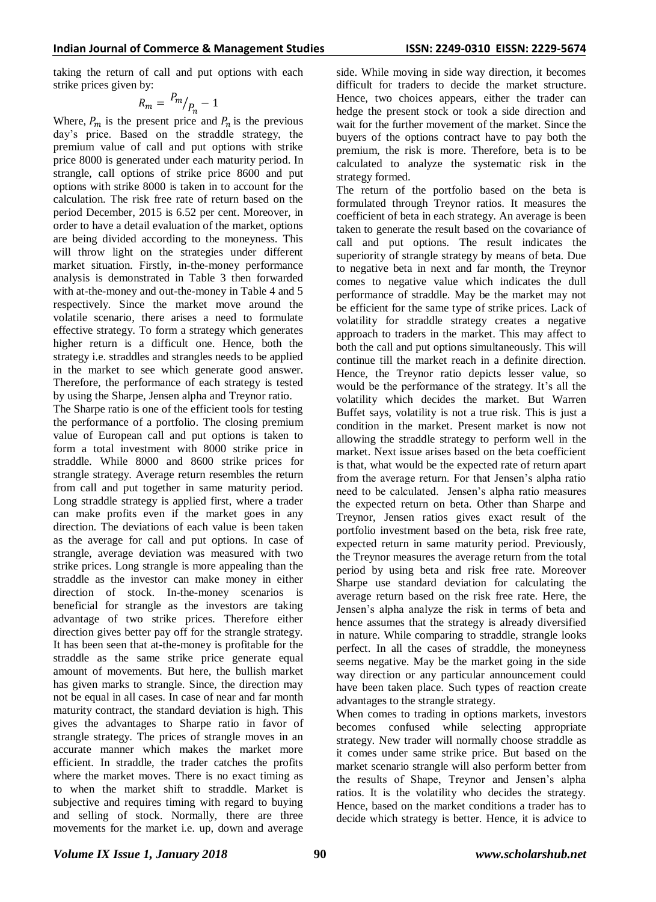taking the return of call and put options with each strike prices given by:

$$
R_m = \frac{P_m}{P_n} - 1
$$

Where,  $P_m$  is the present price and  $P_n$  is the previous day's price. Based on the straddle strategy, the premium value of call and put options with strike price 8000 is generated under each maturity period. In strangle, call options of strike price 8600 and put options with strike 8000 is taken in to account for the calculation. The risk free rate of return based on the period December, 2015 is 6.52 per cent. Moreover, in order to have a detail evaluation of the market, options are being divided according to the moneyness. This will throw light on the strategies under different market situation. Firstly, in-the-money performance analysis is demonstrated in Table 3 then forwarded with at-the-money and out-the-money in Table 4 and 5 respectively. Since the market move around the volatile scenario, there arises a need to formulate effective strategy. To form a strategy which generates higher return is a difficult one. Hence, both the strategy i.e. straddles and strangles needs to be applied in the market to see which generate good answer. Therefore, the performance of each strategy is tested by using the Sharpe, Jensen alpha and Treynor ratio.

The Sharpe ratio is one of the efficient tools for testing the performance of a portfolio. The closing premium value of European call and put options is taken to form a total investment with 8000 strike price in straddle. While 8000 and 8600 strike prices for strangle strategy. Average return resembles the return from call and put together in same maturity period. Long straddle strategy is applied first, where a trader can make profits even if the market goes in any direction. The deviations of each value is been taken as the average for call and put options. In case of strangle, average deviation was measured with two strike prices. Long strangle is more appealing than the straddle as the investor can make money in either direction of stock. In-the-money scenarios is beneficial for strangle as the investors are taking advantage of two strike prices. Therefore either direction gives better pay off for the strangle strategy. It has been seen that at-the-money is profitable for the straddle as the same strike price generate equal amount of movements. But here, the bullish market has given marks to strangle. Since, the direction may not be equal in all cases. In case of near and far month maturity contract, the standard deviation is high. This gives the advantages to Sharpe ratio in favor of strangle strategy. The prices of strangle moves in an accurate manner which makes the market more efficient. In straddle, the trader catches the profits where the market moves. There is no exact timing as to when the market shift to straddle. Market is subjective and requires timing with regard to buying and selling of stock. Normally, there are three movements for the market i.e. up, down and average side. While moving in side way direction, it becomes difficult for traders to decide the market structure. Hence, two choices appears, either the trader can hedge the present stock or took a side direction and wait for the further movement of the market. Since the buyers of the options contract have to pay both the premium, the risk is more. Therefore, beta is to be calculated to analyze the systematic risk in the strategy formed.

The return of the portfolio based on the beta is formulated through Treynor ratios. It measures the coefficient of beta in each strategy. An average is been taken to generate the result based on the covariance of call and put options. The result indicates the superiority of strangle strategy by means of beta. Due to negative beta in next and far month, the Treynor comes to negative value which indicates the dull performance of straddle. May be the market may not be efficient for the same type of strike prices. Lack of volatility for straddle strategy creates a negative approach to traders in the market. This may affect to both the call and put options simultaneously. This will continue till the market reach in a definite direction. Hence, the Treynor ratio depicts lesser value, so would be the performance of the strategy. It's all the volatility which decides the market. But Warren Buffet says, volatility is not a true risk. This is just a condition in the market. Present market is now not allowing the straddle strategy to perform well in the market. Next issue arises based on the beta coefficient is that, what would be the expected rate of return apart from the average return. For that Jensen's alpha ratio need to be calculated. Jensen's alpha ratio measures the expected return on beta. Other than Sharpe and Treynor, Jensen ratios gives exact result of the portfolio investment based on the beta, risk free rate, expected return in same maturity period. Previously, the Treynor measures the average return from the total period by using beta and risk free rate. Moreover Sharpe use standard deviation for calculating the average return based on the risk free rate. Here, the Jensen's alpha analyze the risk in terms of beta and hence assumes that the strategy is already diversified in nature. While comparing to straddle, strangle looks perfect. In all the cases of straddle, the moneyness seems negative. May be the market going in the side way direction or any particular announcement could have been taken place. Such types of reaction create advantages to the strangle strategy.

When comes to trading in options markets, investors becomes confused while selecting appropriate strategy. New trader will normally choose straddle as it comes under same strike price. But based on the market scenario strangle will also perform better from the results of Shape, Treynor and Jensen's alpha ratios. It is the volatility who decides the strategy. Hence, based on the market conditions a trader has to decide which strategy is better. Hence, it is advice to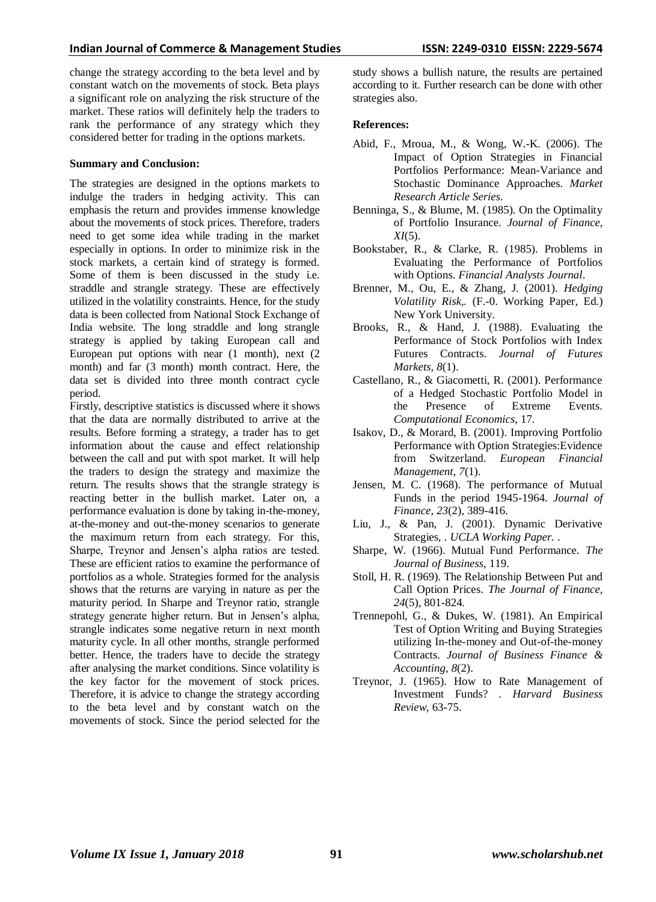change the strategy according to the beta level and by constant watch on the movements of stock. Beta plays a significant role on analyzing the risk structure of the market. These ratios will definitely help the traders to rank the performance of any strategy which they considered better for trading in the options markets.

#### **Summary and Conclusion:**

The strategies are designed in the options markets to indulge the traders in hedging activity. This can emphasis the return and provides immense knowledge about the movements of stock prices. Therefore, traders need to get some idea while trading in the market especially in options. In order to minimize risk in the stock markets, a certain kind of strategy is formed. Some of them is been discussed in the study i.e. straddle and strangle strategy. These are effectively utilized in the volatility constraints. Hence, for the study data is been collected from National Stock Exchange of India website. The long straddle and long strangle strategy is applied by taking European call and European put options with near (1 month), next (2 month) and far (3 month) month contract. Here, the data set is divided into three month contract cycle period.

Firstly, descriptive statistics is discussed where it shows that the data are normally distributed to arrive at the results. Before forming a strategy, a trader has to get information about the cause and effect relationship between the call and put with spot market. It will help the traders to design the strategy and maximize the return. The results shows that the strangle strategy is reacting better in the bullish market. Later on, a performance evaluation is done by taking in-the-money, at-the-money and out-the-money scenarios to generate the maximum return from each strategy. For this, Sharpe, Treynor and Jensen's alpha ratios are tested. These are efficient ratios to examine the performance of portfolios as a whole. Strategies formed for the analysis shows that the returns are varying in nature as per the maturity period. In Sharpe and Treynor ratio, strangle strategy generate higher return. But in Jensen's alpha, strangle indicates some negative return in next month maturity cycle. In all other months, strangle performed better. Hence, the traders have to decide the strategy after analysing the market conditions. Since volatility is the key factor for the movement of stock prices. Therefore, it is advice to change the strategy according to the beta level and by constant watch on the movements of stock. Since the period selected for the

study shows a bullish nature, the results are pertained according to it. Further research can be done with other strategies also.

### **References:**

- Abid, F., Mroua, M., & Wong, W.-K. (2006). The Impact of Option Strategies in Financial Portfolios Performance: Mean-Variance and Stochastic Dominance Approaches. *Market Research Article Series*.
- Benninga, S., & Blume, M. (1985). On the Optimality of Portfolio Insurance. *Journal of Finance, XI*(5).
- Bookstaber, R., & Clarke, R. (1985). Problems in Evaluating the Performance of Portfolios with Options. *Financial Analysts Journal*.
- Brenner, M., Ou, E., & Zhang, J. (2001). *Hedging Volatility Risk,.* (F.-0. Working Paper, Ed.) New York University.
- Brooks, R., & Hand, J. (1988). Evaluating the Performance of Stock Portfolios with Index Futures Contracts. *Journal of Futures Markets, 8*(1).
- Castellano, R., & Giacometti, R. (2001). Performance of a Hedged Stochastic Portfolio Model in the Presence of Extreme Events. *Computational Economics*, 17.
- Isakov, D., & Morard, B. (2001). Improving Portfolio Performance with Option Strategies:Evidence from Switzerland. *European Financial Management, 7*(1).
- Jensen, M. C. (1968). The performance of Mutual Funds in the period 1945-1964. *Journal of Finance, 23*(2), 389-416.
- Liu, J., & Pan, J. (2001). Dynamic Derivative Strategies, . *UCLA Working Paper.* .
- Sharpe, W. (1966). Mutual Fund Performance. *The Journal of Business*, 119.
- Stoll, H. R. (1969). The Relationship Between Put and Call Option Prices. *The Journal of Finance, 24*(5), 801-824.
- Trennepohl, G., & Dukes, W. (1981). An Empirical Test of Option Writing and Buying Strategies utilizing In-the-money and Out-of-the-money Contracts. *Journal of Business Finance & Accounting, 8*(2).
- Treynor, J. (1965). How to Rate Management of Investment Funds? . *Harvard Business Review*, 63-75.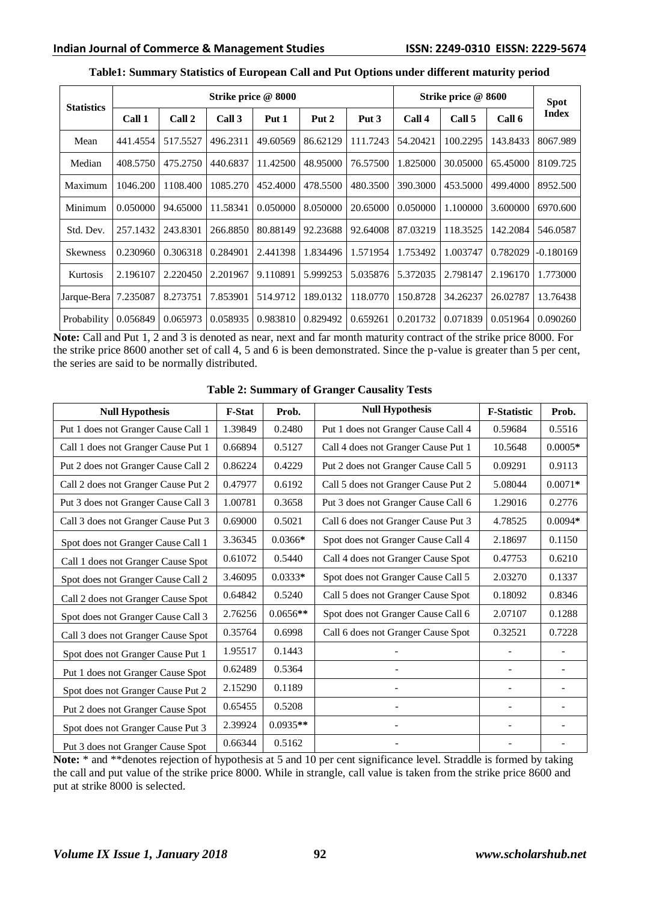| <b>Statistics</b> | Strike price @ 8000 |          |          |          |          |          | Strike price @ 8600 | <b>Spot</b> |          |              |
|-------------------|---------------------|----------|----------|----------|----------|----------|---------------------|-------------|----------|--------------|
|                   | Call 1              | Call 2   | Call 3   | Put 1    | Put 2    | Put 3    | Call 4              | Call 5      | Call 6   | <b>Index</b> |
| Mean              | 441.4554            | 517.5527 | 496.2311 | 49.60569 | 86.62129 | 111.7243 | 54.20421            | 100.2295    | 143.8433 | 8067.989     |
| Median            | 408.5750            | 475.2750 | 440.6837 | 11.42500 | 48.95000 | 76.57500 | 1.825000            | 30.05000    | 65.45000 | 8109.725     |
| Maximum           | 1046.200            | 1108.400 | 1085.270 | 452.4000 | 478.5500 | 480.3500 | 390.3000            | 453.5000    | 499.4000 | 8952.500     |
| Minimum           | 0.050000            | 94.65000 | 11.58341 | 0.050000 | 8.050000 | 20.65000 | 0.050000            | 1.100000    | 3.600000 | 6970.600     |
| Std. Dev.         | 257.1432            | 243.8301 | 266.8850 | 80.88149 | 92.23688 | 92.64008 | 87.03219            | 118.3525    | 142.2084 | 546.0587     |
| <b>Skewness</b>   | 0.230960            | 0.306318 | 0.284901 | 2.441398 | 1.834496 | 1.571954 | 1.753492            | 1.003747    | 0.782029 | -0.180169    |
| Kurtosis          | 2.196107            | 2.220450 | 2.201967 | 9.110891 | 5.999253 | 5.035876 | 5.372035            | 2.798147    | 2.196170 | 1.773000     |
| Jarque-Bera       | 7.235087            | 8.273751 | 7.853901 | 514.9712 | 189.0132 | 118.0770 | 150.8728            | 34.26237    | 26.02787 | 13.76438     |
| Probability       | 0.056849            | 0.065973 | 0.058935 | 0.983810 | 0.829492 | 0.659261 | 0.201732            | 0.071839    | 0.051964 | 0.090260     |

# **Table1: Summary Statistics of European Call and Put Options under different maturity period**

**Note:** Call and Put 1, 2 and 3 is denoted as near, next and far month maturity contract of the strike price 8000. For the strike price 8600 another set of call 4, 5 and 6 is been demonstrated. Since the p-value is greater than 5 per cent, the series are said to be normally distributed.

|  |  | <b>Table 2: Summary of Granger Causality Tests</b> |  |  |
|--|--|----------------------------------------------------|--|--|
|--|--|----------------------------------------------------|--|--|

| <b>Null Hypothesis</b>              | <b>F-Stat</b> | Prob.      | <b>Null Hypothesis</b>              | <b>F-Statistic</b> | Prob.     |
|-------------------------------------|---------------|------------|-------------------------------------|--------------------|-----------|
| Put 1 does not Granger Cause Call 1 | 1.39849       | 0.2480     | Put 1 does not Granger Cause Call 4 | 0.59684            | 0.5516    |
| Call 1 does not Granger Cause Put 1 | 0.66894       | 0.5127     | Call 4 does not Granger Cause Put 1 | 10.5648            | $0.0005*$ |
| Put 2 does not Granger Cause Call 2 | 0.86224       | 0.4229     | Put 2 does not Granger Cause Call 5 | 0.09291            | 0.9113    |
| Call 2 does not Granger Cause Put 2 | 0.47977       | 0.6192     | Call 5 does not Granger Cause Put 2 | 5.08044            | $0.0071*$ |
| Put 3 does not Granger Cause Call 3 | 1.00781       | 0.3658     | Put 3 does not Granger Cause Call 6 | 1.29016            | 0.2776    |
| Call 3 does not Granger Cause Put 3 | 0.69000       | 0.5021     | Call 6 does not Granger Cause Put 3 | 4.78525            | $0.0094*$ |
| Spot does not Granger Cause Call 1  | 3.36345       | $0.0366*$  | Spot does not Granger Cause Call 4  | 2.18697            | 0.1150    |
| Call 1 does not Granger Cause Spot  | 0.61072       | 0.5440     | Call 4 does not Granger Cause Spot  | 0.47753            | 0.6210    |
| Spot does not Granger Cause Call 2  | 3.46095       | $0.0333*$  | Spot does not Granger Cause Call 5  | 2.03270            | 0.1337    |
| Call 2 does not Granger Cause Spot  | 0.64842       | 0.5240     | Call 5 does not Granger Cause Spot  | 0.18092            | 0.8346    |
| Spot does not Granger Cause Call 3  | 2.76256       | $0.0656**$ | Spot does not Granger Cause Call 6  | 2.07107            | 0.1288    |
| Call 3 does not Granger Cause Spot  | 0.35764       | 0.6998     | Call 6 does not Granger Cause Spot  | 0.32521            | 0.7228    |
| Spot does not Granger Cause Put 1   | 1.95517       | 0.1443     |                                     |                    |           |
| Put 1 does not Granger Cause Spot   | 0.62489       | 0.5364     |                                     |                    |           |
| Spot does not Granger Cause Put 2   | 2.15290       | 0.1189     |                                     |                    |           |
| Put 2 does not Granger Cause Spot   | 0.65455       | 0.5208     |                                     |                    |           |
| Spot does not Granger Cause Put 3   | 2.39924       | $0.0935**$ |                                     |                    |           |
| Put 3 does not Granger Cause Spot   | 0.66344       | 0.5162     |                                     |                    |           |

**Note:** \* and \*\*denotes rejection of hypothesis at 5 and 10 per cent significance level. Straddle is formed by taking the call and put value of the strike price 8000. While in strangle, call value is taken from the strike price 8600 and put at strike 8000 is selected.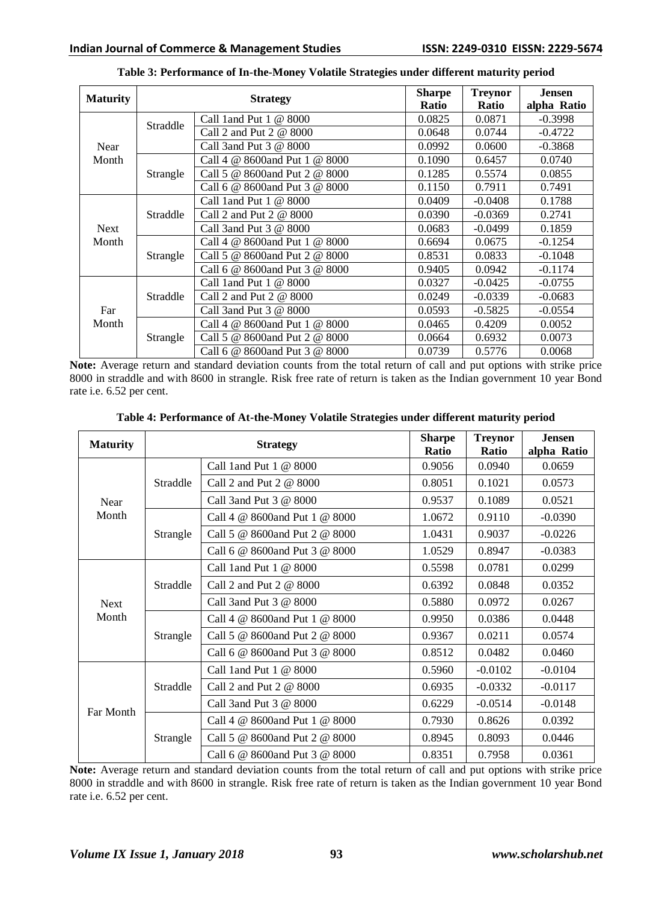| <b>Maturity</b> |          | <b>Strategy</b>                                  | <b>Sharpe</b><br>Ratio | <b>Treynor</b><br><b>Ratio</b> | <b>Jensen</b><br>alpha Ratio |
|-----------------|----------|--------------------------------------------------|------------------------|--------------------------------|------------------------------|
|                 | Straddle | Call 1 and Put 1 @ 8000                          | 0.0825                 | 0.0871                         | $-0.3998$                    |
|                 |          | Call 2 and Put $2 \& 8000$                       | 0.0648                 | 0.0744                         | $-0.4722$                    |
| Near            |          | Call 3and Put 3 @ 8000                           | 0.0992                 | 0.0600                         | $-0.3868$                    |
| Month           | Strangle | Call 4 @ 8600 and Put 1 @ 8000                   | 0.1090                 | 0.6457                         | 0.0740                       |
|                 |          | Call 5 @ 8600 and Put 2 @ 8000                   | 0.1285                 | 0.5574                         | 0.0855                       |
|                 |          | Call 6 @ 8600 and Put 3 @ 8000                   | 0.1150                 | 0.7911                         | 0.7491                       |
| <b>Next</b>     | Straddle | Call 1 and Put 1 @ 8000                          | 0.0409                 | $-0.0408$                      | 0.1788                       |
|                 |          | Call 2 and Put $2 \text{ } \textcircled{e}$ 8000 | 0.0390                 | $-0.0369$                      | 0.2741                       |
|                 |          | Call 3and Put 3 @ 8000                           | 0.0683                 | $-0.0499$                      | 0.1859                       |
| Month           | Strangle | Call 4 @ 8600 and Put 1 @ 8000                   | 0.6694                 | 0.0675                         | $-0.1254$                    |
|                 |          | Call 5 @ 8600 and Put 2 @ 8000                   | 0.8531                 | 0.0833                         | $-0.1048$                    |
|                 |          | Call 6 @ 8600 and Put 3 @ 8000                   | 0.9405                 | 0.0942                         | $-0.1174$                    |
|                 | Straddle | Call 1 and Put 1 @ 8000                          | 0.0327                 | $-0.0425$                      | $-0.0755$                    |
| Far<br>Month    |          | Call 2 and Put 2 @ 8000                          | 0.0249                 | $-0.0339$                      | $-0.0683$                    |
|                 |          | Call 3and Put 3 @ 8000                           | 0.0593                 | $-0.5825$                      | $-0.0554$                    |
|                 | Strangle | Call 4 @ 8600and Put 1 @ 8000                    | 0.0465                 | 0.4209                         | 0.0052                       |
|                 |          | Call 5 @ 8600 and Put 2 @ 8000                   | 0.0664                 | 0.6932                         | 0.0073                       |
|                 |          | Call 6 @ 8600and Put 3 @ 8000                    | 0.0739                 | 0.5776                         | 0.0068                       |

**Table 3: Performance of In-the-Money Volatile Strategies under different maturity period**

**Note:** Average return and standard deviation counts from the total return of call and put options with strike price 8000 in straddle and with 8600 in strangle. Risk free rate of return is taken as the Indian government 10 year Bond rate i.e. 6.52 per cent.

| <b>Maturity</b> |          | <b>Strategy</b>                                  | <b>Sharpe</b><br><b>Ratio</b> | <b>Treynor</b><br><b>Ratio</b> | <b>Jensen</b><br>alpha Ratio |
|-----------------|----------|--------------------------------------------------|-------------------------------|--------------------------------|------------------------------|
| Near            | Straddle | Call 1 and Put 1 @ 8000                          | 0.9056                        | 0.0940                         | 0.0659                       |
|                 |          | Call 2 and Put 2 @ 8000                          | 0.8051                        | 0.1021                         | 0.0573                       |
|                 |          | Call 3and Put 3 @ 8000                           | 0.9537                        | 0.1089                         | 0.0521                       |
| Month           | Strangle | Call 4 @ 8600and Put 1 @ 8000                    | 1.0672                        | 0.9110                         | $-0.0390$                    |
|                 |          | Call 5 @ 8600 and Put 2 @ 8000                   | 1.0431                        | 0.9037                         | $-0.0226$                    |
|                 |          | Call 6 @ 8600and Put 3 @ 8000                    | 1.0529                        | 0.8947                         | $-0.0383$                    |
|                 | Straddle | Call 1 and Put $1 \& 8000$                       | 0.5598                        | 0.0781                         | 0.0299                       |
|                 |          | Call 2 and Put 2 @ 8000                          | 0.6392                        | 0.0848                         | 0.0352                       |
| <b>Next</b>     |          | Call 3and Put 3 @ 8000                           | 0.5880                        | 0.0972                         | 0.0267                       |
| Month           | Strangle | Call 4 @ 8600 and Put 1 @ 8000                   | 0.9950                        | 0.0386                         | 0.0448                       |
|                 |          | Call 5 @ 8600 and Put 2 @ 8000                   | 0.9367                        | 0.0211                         | 0.0574                       |
|                 |          | Call 6 @ 8600and Put 3 @ 8000                    | 0.8512                        | 0.0482                         | 0.0460                       |
|                 | Straddle | Call 1 and Put $1 \& 8000$                       | 0.5960                        | $-0.0102$                      | $-0.0104$                    |
|                 |          | Call 2 and Put $2 \text{ } \textcircled{e}$ 8000 | 0.6935                        | $-0.0332$                      | $-0.0117$                    |
| Far Month       |          | Call 3and Put 3 @ 8000                           | 0.6229                        | $-0.0514$                      | $-0.0148$                    |
|                 | Strangle | Call 4 @ 8600 and Put 1 @ 8000                   | 0.7930                        | 0.8626                         | 0.0392                       |
|                 |          | Call 5 @ 8600 and Put 2 @ 8000                   | 0.8945                        | 0.8093                         | 0.0446                       |
|                 |          | Call 6 @ 8600 and Put 3 @ 8000                   | 0.8351                        | 0.7958                         | 0.0361                       |

**Table 4: Performance of At-the-Money Volatile Strategies under different maturity period**

**Note:** Average return and standard deviation counts from the total return of call and put options with strike price 8000 in straddle and with 8600 in strangle. Risk free rate of return is taken as the Indian government 10 year Bond rate i.e. 6.52 per cent.